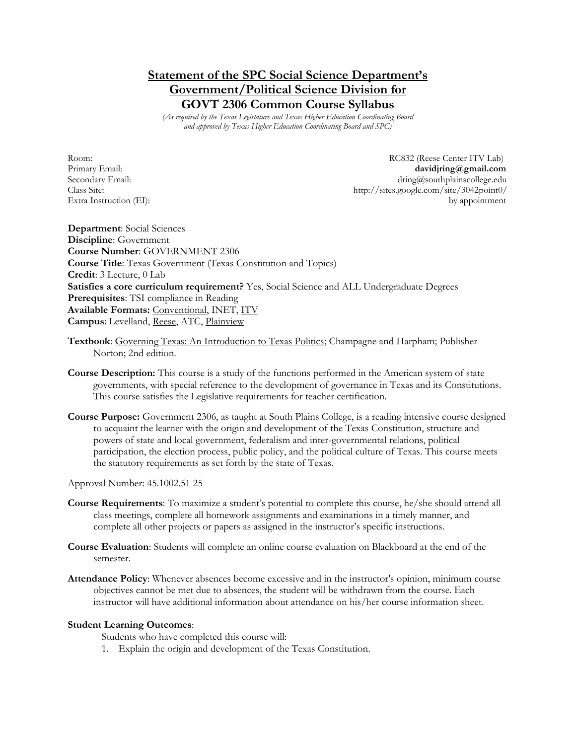# **Statement of the SPC Social Science Department's Government/Political Science Division for GOVT 2306 Common Course Syllabus**

*(As required by the Texas Legislature and Texas Higher Education Coordinating Board and approved by Texas Higher Education Coordinating Board and SPC)*

Room: RC832 (Reese Center ITV Lab) Primary Email: **davidjring@gmail.com** Secondary Email: dring@southplainscollege.edu Class Site: http://sites.google.com/site/3042point0/ Extra Instruction (EI): by appointment

**Department**: Social Sciences **Discipline**: Government **Course Number**: GOVERNMENT 2306 **Course Title**: Texas Government (Texas Constitution and Topics) **Credit**: 3 Lecture, 0 Lab **Satisfies a core curriculum requirement?** Yes, Social Science and ALL Undergraduate Degrees **Prerequisites**: TSI compliance in Reading **Available Formats:** Conventional, INET, ITV **Campus**: Levelland, Reese, ATC, Plainview

- **Textbook**: Governing Texas: An Introduction to Texas Politics; Champagne and Harpham; Publisher Norton; 2nd edition.
- **Course Description:** This course is a study of the functions performed in the American system of state governments, with special reference to the development of governance in Texas and its Constitutions. This course satisfies the Legislative requirements for teacher certification.
- **Course Purpose:** Government 2306, as taught at South Plains College, is a reading intensive course designed to acquaint the learner with the origin and development of the Texas Constitution, structure and powers of state and local government, federalism and inter-governmental relations, political participation, the election process, public policy, and the political culture of Texas. This course meets the statutory requirements as set forth by the state of Texas.

Approval Number: 45.1002.51 25

- **Course Requirements**: To maximize a student's potential to complete this course, he/she should attend all class meetings, complete all homework assignments and examinations in a timely manner, and complete all other projects or papers as assigned in the instructor's specific instructions.
- **Course Evaluation**: Students will complete an online course evaluation on Blackboard at the end of the semester.
- **Attendance Policy**: Whenever absences become excessive and in the instructor's opinion, minimum course objectives cannot be met due to absences, the student will be withdrawn from the course. Each instructor will have additional information about attendance on his/her course information sheet.

#### **Student Learning Outcomes**:

Students who have completed this course will:

1. Explain the origin and development of the Texas Constitution.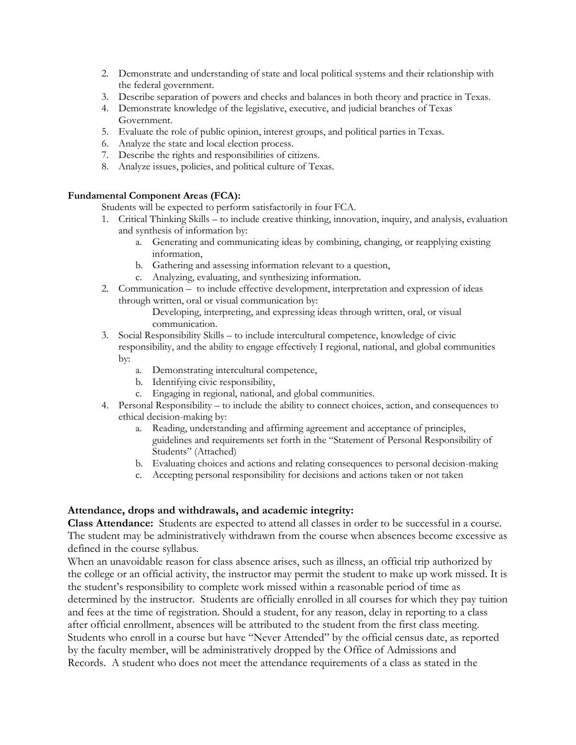- 2. Demonstrate and understanding of state and local political systems and their relationship with the federal government.
- 3. Describe separation of powers and checks and balances in both theory and practice in Texas.
- 4. Demonstrate knowledge of the legislative, executive, and judicial branches of Texas Government.
- 5. Evaluate the role of public opinion, interest groups, and political parties in Texas.
- 6. Analyze the state and local election process.
- 7. Describe the rights and responsibilities of citizens.
- 8. Analyze issues, policies, and political culture of Texas.

#### **Fundamental Component Areas (FCA):**

Students will be expected to perform satisfactorily in four FCA.

- 1. Critical Thinking Skills to include creative thinking, innovation, inquiry, and analysis, evaluation and synthesis of information by:
	- a. Generating and communicating ideas by combining, changing, or reapplying existing information,
	- b. Gathering and assessing information relevant to a question,
	- c. Analyzing, evaluating, and synthesizing information.
- 2. Communication to include effective development, interpretation and expression of ideas through written, oral or visual communication by:

Developing, interpreting, and expressing ideas through written, oral, or visual communication.

- 3. Social Responsibility Skills to include intercultural competence, knowledge of civic responsibility, and the ability to engage effectively I regional, national, and global communities by:
	- a. Demonstrating intercultural competence,
	- b. Identifying civic responsibility,
	- c. Engaging in regional, national, and global communities.
- 4. Personal Responsibility to include the ability to connect choices, action, and consequences to ethical decision-making by:
	- a. Reading, understanding and affirming agreement and acceptance of principles, guidelines and requirements set forth in the "Statement of Personal Responsibility of Students" (Attached)
	- b. Evaluating choices and actions and relating consequences to personal decision-making
	- c. Accepting personal responsibility for decisions and actions taken or not taken

### **Attendance, drops and withdrawals, and academic integrity:**

**Class Attendance:** Students are expected to attend all classes in order to be successful in a course. The student may be administratively withdrawn from the course when absences become excessive as defined in the course syllabus.

When an unavoidable reason for class absence arises, such as illness, an official trip authorized by the college or an official activity, the instructor may permit the student to make up work missed. It is the student's responsibility to complete work missed within a reasonable period of time as determined by the instructor. Students are officially enrolled in all courses for which they pay tuition and fees at the time of registration. Should a student, for any reason, delay in reporting to a class after official enrollment, absences will be attributed to the student from the first class meeting. Students who enroll in a course but have "Never Attended" by the official census date, as reported by the faculty member, will be administratively dropped by the Office of Admissions and Records. A student who does not meet the attendance requirements of a class as stated in the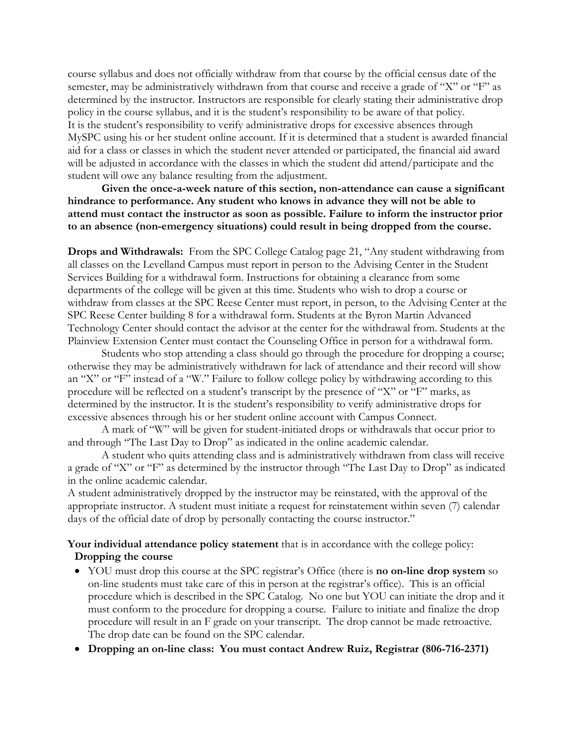course syllabus and does not officially withdraw from that course by the official census date of the semester, may be administratively withdrawn from that course and receive a grade of "X" or "F" as determined by the instructor. Instructors are responsible for clearly stating their administrative drop policy in the course syllabus, and it is the student's responsibility to be aware of that policy. It is the student's responsibility to verify administrative drops for excessive absences through MySPC using his or her student online account. If it is determined that a student is awarded financial aid for a class or classes in which the student never attended or participated, the financial aid award will be adjusted in accordance with the classes in which the student did attend/participate and the student will owe any balance resulting from the adjustment.

**Given the once-a-week nature of this section, non-attendance can cause a significant hindrance to performance. Any student who knows in advance they will not be able to attend must contact the instructor as soon as possible. Failure to inform the instructor prior to an absence (non-emergency situations) could result in being dropped from the course.**

**Drops and Withdrawals:** From the SPC College Catalog page 21, "Any student withdrawing from all classes on the Levelland Campus must report in person to the Advising Center in the Student Services Building for a withdrawal form. Instructions for obtaining a clearance from some departments of the college will be given at this time. Students who wish to drop a course or withdraw from classes at the SPC Reese Center must report, in person, to the Advising Center at the SPC Reese Center building 8 for a withdrawal form. Students at the Byron Martin Advanced Technology Center should contact the advisor at the center for the withdrawal from. Students at the Plainview Extension Center must contact the Counseling Office in person for a withdrawal form.

Students who stop attending a class should go through the procedure for dropping a course; otherwise they may be administratively withdrawn for lack of attendance and their record will show an "X" or "F" instead of a "W." Failure to follow college policy by withdrawing according to this procedure will be reflected on a student's transcript by the presence of "X" or "F" marks, as determined by the instructor. It is the student's responsibility to verify administrative drops for excessive absences through his or her student online account with Campus Connect.

A mark of "W" will be given for student-initiated drops or withdrawals that occur prior to and through "The Last Day to Drop" as indicated in the online academic calendar.

A student who quits attending class and is administratively withdrawn from class will receive a grade of "X" or "F" as determined by the instructor through "The Last Day to Drop" as indicated in the online academic calendar.

A student administratively dropped by the instructor may be reinstated, with the approval of the appropriate instructor. A student must initiate a request for reinstatement within seven (7) calendar days of the official date of drop by personally contacting the course instructor."

**Your individual attendance policy statement** that is in accordance with the college policy: **Dropping the course**

- YOU must drop this course at the SPC registrar's Office (there is **no on-line drop system** so on-line students must take care of this in person at the registrar's office). This is an official procedure which is described in the SPC Catalog. No one but YOU can initiate the drop and it must conform to the procedure for dropping a course. Failure to initiate and finalize the drop procedure will result in an F grade on your transcript. The drop cannot be made retroactive. The drop date can be found on the SPC calendar.
- **Dropping an on-line class: You must contact Andrew Ruiz, Registrar (806-716-2371)**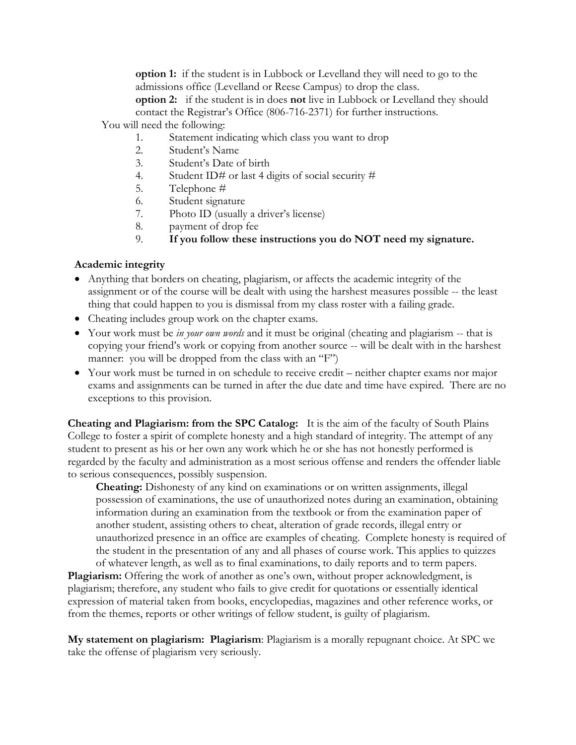**option 1:** if the student is in Lubbock or Levelland they will need to go to the admissions office (Levelland or Reese Campus) to drop the class.

**option 2:** if the student is in does **not** live in Lubbock or Levelland they should contact the Registrar's Office (806-716-2371) for further instructions.

You will need the following:

- 1. Statement indicating which class you want to drop
- 2. Student's Name
- 3. Student's Date of birth
- 4. Student ID# or last 4 digits of social security  $#$
- 5. Telephone #
- 6. Student signature
- 7. Photo ID (usually a driver's license)
- 8. payment of drop fee
- 9. **If you follow these instructions you do NOT need my signature.**

# **Academic integrity**

- Anything that borders on cheating, plagiarism, or affects the academic integrity of the assignment or of the course will be dealt with using the harshest measures possible -- the least thing that could happen to you is dismissal from my class roster with a failing grade.
- Cheating includes group work on the chapter exams.
- Your work must be *in your own words* and it must be original (cheating and plagiarism -- that is copying your friend's work or copying from another source -- will be dealt with in the harshest manner: you will be dropped from the class with an "F")
- Your work must be turned in on schedule to receive credit neither chapter exams nor major exams and assignments can be turned in after the due date and time have expired. There are no exceptions to this provision.

**Cheating and Plagiarism: from the SPC Catalog:** It is the aim of the faculty of South Plains College to foster a spirit of complete honesty and a high standard of integrity. The attempt of any student to present as his or her own any work which he or she has not honestly performed is regarded by the faculty and administration as a most serious offense and renders the offender liable to serious consequences, possibly suspension.

**Cheating:** Dishonesty of any kind on examinations or on written assignments, illegal possession of examinations, the use of unauthorized notes during an examination, obtaining information during an examination from the textbook or from the examination paper of another student, assisting others to cheat, alteration of grade records, illegal entry or unauthorized presence in an office are examples of cheating. Complete honesty is required of the student in the presentation of any and all phases of course work. This applies to quizzes of whatever length, as well as to final examinations, to daily reports and to term papers.

**Plagiarism:** Offering the work of another as one's own, without proper acknowledgment, is plagiarism; therefore, any student who fails to give credit for quotations or essentially identical expression of material taken from books, encyclopedias, magazines and other reference works, or from the themes, reports or other writings of fellow student, is guilty of plagiarism.

**My statement on plagiarism: Plagiarism**: Plagiarism is a morally repugnant choice. At SPC we take the offense of plagiarism very seriously.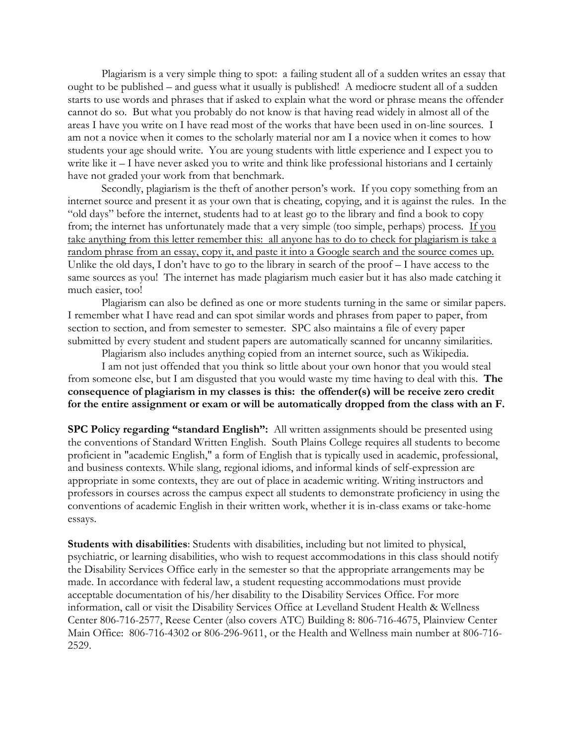Plagiarism is a very simple thing to spot: a failing student all of a sudden writes an essay that ought to be published – and guess what it usually is published! A mediocre student all of a sudden starts to use words and phrases that if asked to explain what the word or phrase means the offender cannot do so. But what you probably do not know is that having read widely in almost all of the areas I have you write on I have read most of the works that have been used in on-line sources. I am not a novice when it comes to the scholarly material nor am I a novice when it comes to how students your age should write. You are young students with little experience and I expect you to write like it – I have never asked you to write and think like professional historians and I certainly have not graded your work from that benchmark.

Secondly, plagiarism is the theft of another person's work. If you copy something from an internet source and present it as your own that is cheating, copying, and it is against the rules. In the "old days" before the internet, students had to at least go to the library and find a book to copy from; the internet has unfortunately made that a very simple (too simple, perhaps) process. If you take anything from this letter remember this: all anyone has to do to check for plagiarism is take a random phrase from an essay, copy it, and paste it into a Google search and the source comes up. Unlike the old days, I don't have to go to the library in search of the proof – I have access to the same sources as you! The internet has made plagiarism much easier but it has also made catching it much easier, too!

Plagiarism can also be defined as one or more students turning in the same or similar papers. I remember what I have read and can spot similar words and phrases from paper to paper, from section to section, and from semester to semester. SPC also maintains a file of every paper submitted by every student and student papers are automatically scanned for uncanny similarities.

Plagiarism also includes anything copied from an internet source, such as Wikipedia.

I am not just offended that you think so little about your own honor that you would steal from someone else, but I am disgusted that you would waste my time having to deal with this. **The consequence of plagiarism in my classes is this: the offender(s) will be receive zero credit for the entire assignment or exam or will be automatically dropped from the class with an F.**

**SPC Policy regarding "standard English":** All written assignments should be presented using the conventions of Standard Written English. South Plains College requires all students to become proficient in "academic English," a form of English that is typically used in academic, professional, and business contexts. While slang, regional idioms, and informal kinds of self-expression are appropriate in some contexts, they are out of place in academic writing. Writing instructors and professors in courses across the campus expect all students to demonstrate proficiency in using the conventions of academic English in their written work, whether it is in-class exams or take-home essays.

**Students with disabilities**: Students with disabilities, including but not limited to physical, psychiatric, or learning disabilities, who wish to request accommodations in this class should notify the Disability Services Office early in the semester so that the appropriate arrangements may be made. In accordance with federal law, a student requesting accommodations must provide acceptable documentation of his/her disability to the Disability Services Office. For more information, call or visit the Disability Services Office at Levelland Student Health & Wellness Center 806-716-2577, Reese Center (also covers ATC) Building 8: 806-716-4675, Plainview Center Main Office: 806-716-4302 or 806-296-9611, or the Health and Wellness main number at 806-716- 2529.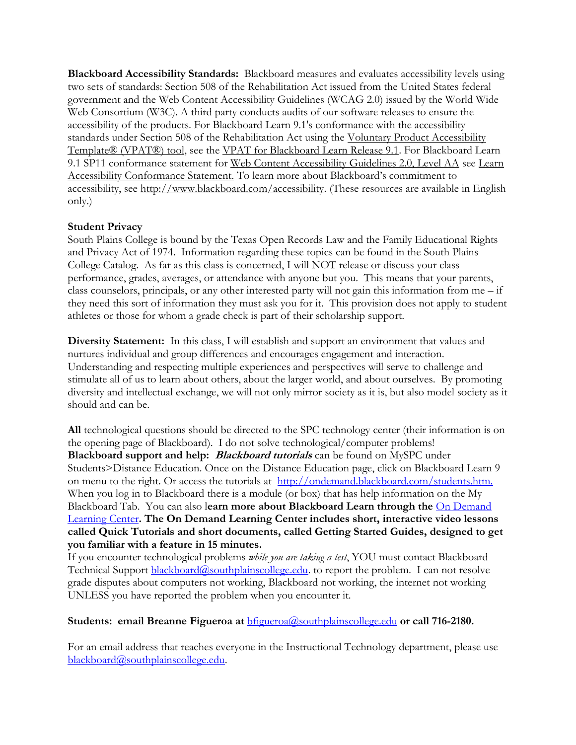**Blackboard Accessibility Standards:** Blackboard measures and evaluates accessibility levels using two sets of standards: Section 508 of the Rehabilitation Act issued from the United States federal government and the Web Content Accessibility Guidelines (WCAG 2.0) issued by the World Wide Web Consortium (W3C). A third party conducts audits of our software releases to ensure the accessibility of the products. For Blackboard Learn 9.1's conformance with the accessibility standards under Section 508 of the Rehabilitation Act using the [Voluntary Product Accessibility](http://www.itic.org/public-policy/accessibility)  [Template® \(VPAT®\) tool,](http://www.itic.org/public-policy/accessibility) see the [VPAT for Blackboard Learn Release 9.1.](http://library.blackboard.com/d?f3781b54-cb00-451b-aa5a-e0fcf0e1791e) For Blackboard Learn 9.1 SP11 conformance statement for [Web Content Accessibility Guidelines 2.0, Level AA](http://www.w3.org/TR/WCAG20/) see Learn [Accessibility Conformance Statement](https://help.blackboard.com/en-us/Learn/9.1_SP_12/Administrator/000_Product_Updates/Accessibility_Improvements/Learn_Accessibility_Conformance_Statement)[.](https://help.blackboard.com/en-us/Learn/9.1_SP_10_and_SP_11/Administrator/000_Product_Updates/010_Learn_Accessibility_Conformance_Statement) To learn more about Blackboard's commitment to accessibility, see [http://www.blackboard.com/accessibility.](http://www.blackboard.com/accessibility) (These resources are available in English only.)

# **Student Privacy**

South Plains College is bound by the Texas Open Records Law and the Family Educational Rights and Privacy Act of 1974. Information regarding these topics can be found in the South Plains College Catalog. As far as this class is concerned, I will NOT release or discuss your class performance, grades, averages, or attendance with anyone but you. This means that your parents, class counselors, principals, or any other interested party will not gain this information from me – if they need this sort of information they must ask you for it. This provision does not apply to student athletes or those for whom a grade check is part of their scholarship support.

**Diversity Statement:** In this class, I will establish and support an environment that values and nurtures individual and group differences and encourages engagement and interaction. Understanding and respecting multiple experiences and perspectives will serve to challenge and stimulate all of us to learn about others, about the larger world, and about ourselves. By promoting diversity and intellectual exchange, we will not only mirror society as it is, but also model society as it should and can be.

**All** technological questions should be directed to the SPC technology center (their information is on the opening page of Blackboard). I do not solve technological/computer problems! **Blackboard support and help: Blackboard tutorials** can be found on MySPC under Students>Distance Education. Once on the Distance Education page, click on Blackboard Learn 9 on menu to the right. Or access the tutorials at [http://ondemand.blackboard.com/students.htm.](http://ondemand.blackboard.com/students.htm) When you log in to Blackboard there is a module (or box) that has help information on the My Blackboard Tab. You can also l**earn more about Blackboard Learn through the** On [Demand](http://ondemand.blackboard.com/) [Learning](http://ondemand.blackboard.com/) Center**. The On Demand Learning Center includes short, interactive video lessons called Quick Tutorials and short documents, called Getting Started Guides, designed to get you familiar with a feature in 15 minutes.**

If you encounter technological problems *while you are taking a test*, YOU must contact Blackboard Technical Support [blackboard@southplainscollege.edu.](mailto:blackboard@southplainscollege.edu) to report the problem. I can not resolve grade disputes about computers not working, Blackboard not working, the internet not working UNLESS you have reported the problem when you encounter it.

Students: email Breanne Figueroa at **[bfigueroa@southplainscollege.edu](mailto:bfigueroa@southplainscollege.edu)** or call 716-2180.

For an email address that reaches everyone in the Instructional Technology department, please use [blackboard@southplainscollege.edu.](http://blackboard@southplainscollege.edu/)